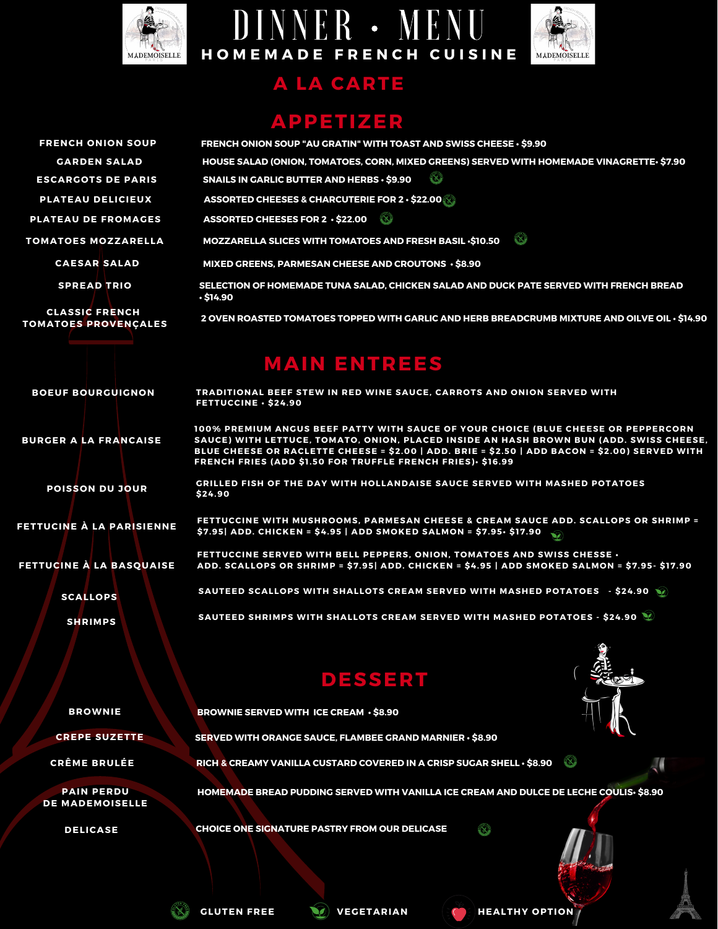





#### **A LA CARTE**

### **APPETIZER**

| <b>FRENCH ONION SOUP</b>                             | FRENCH ONION SOUP "AU GRATIN" WITH TOAST AND SWISS CHEESE $\cdot$ \$9.90                                                                                                      |
|------------------------------------------------------|-------------------------------------------------------------------------------------------------------------------------------------------------------------------------------|
| <b>GARDEN SALAD</b>                                  | HOUSE SALAD (ONION, TOMATOES, CORN, MIXED GREENS) SERVED WITH HOMEMADE VINAGRETTE- \$7.90                                                                                     |
| <b>ESCARGOTS DE PARIS</b>                            | $\infty$<br><b>SNAILS IN GARLIC BUTTER AND HERBS · \$9.90</b>                                                                                                                 |
| PLATEAU DELICIEUX                                    | ASSORTED CHEESES & CHARCUTERIE FOR 2 $\cdot$ \$22.00                                                                                                                          |
| <b>PLATEAU DE FROMAGES</b>                           | ASSORTED CHEESES FOR 2 $\cdot$ \$22.00                                                                                                                                        |
| <b>TOMATOES MOZZARELLA</b>                           | X.<br><b>MOZZARELLA SLICES WITH TOMATOES AND FRESH BASIL .\$10.50</b>                                                                                                         |
| <b>CAESAR SALAD</b>                                  | MIXED GREENS, PARMESAN CHEESE AND CROUTONS · \$8.90                                                                                                                           |
| <b>SPREAD TRIO</b>                                   | SELECTION OF HOMEMADE TUNA SALAD, CHICKEN SALAD AND DUCK PATE SERVED WITH FRENCH BREAD<br>$.$ \$14.90                                                                         |
| <b>CLASSIC FRENCH</b><br><b>TOMATOES PROVENÇALES</b> | 2 OVEN ROASTED TOMATOES TOPPED WITH GARLIC AND HERB BREADCRUMB MIXTURE AND OILVE OIL · \$14.90                                                                                |
|                                                      | <b>MAIN ENTREES</b>                                                                                                                                                           |
| <b>BOEUF BOURGUIGNON</b>                             | TRADITIONAL BEEF STEW IN RED WINE SAUCE, CARROTS AND ONION SERVED WITH<br>FETTUCCINE · \$24.90                                                                                |
| <b>BURGER A LA FRANCAISE</b>                         | 100% PREMIUM ANGUS BEEF PATTY WITH SAUCE OF YOUR CHOICE (BLUE CHEESE OR PEPPERCORN<br>SAUCE) WITH LETTUCE, TOMATO, ONION, PLACED INSIDE AN HASH BROWN BUN (ADD. SWISS CHEESE, |

**SAUCE) WITH LETTUCE, TOMATO, ONION, PLACED INSIDE AN HASH BROWN BUN (ADD. SWISS CHEESE, BLUE CHEESE OR RACLETTE CHEESE = \$2.00 | ADD. BRIE = \$2.50 | ADD BACON = \$2.00) SERVED WITH FRENCH FRIES (ADD \$1 .50 FOR TRUFFLE FRENCH FRIES)• \$16.99**

**GRILLED FISH OF THE DAY WITH HOLLANDAISE SAUCE SERVED WITH MASHED POTATOES \$24.90**

**FETTUCCINE WITH MUSHROOMS, PARMESAN CHEESE & CREAM SAUCE ADD. SCALLOPS OR SHRIMP = \$7.95| ADD. CHICKEN = \$4.95 | ADD SMOKED SALMON = \$7.95• \$17.90**

**FETTUCCINE SERVED WITH BELL PEPPERS, ONION, TOMATOES AND SWISS CHESSE • ADD. SCALLOPS OR SHRIMP = \$7.95| ADD. CHICKEN = \$4.95 | ADD SMOKED SALMON = \$7.95- \$17.90**

**SAUTEED SCALLOPS WITH SHALLOTS CREAM SERVED WITH MASHED POTATOES - \$24.90**

**SAUTEED SHRIMPS WITH SHALLOTS CREAM SERVED WITH MASHED POTATOES - \$24.90**

**HOMEMADE BREAD PUDDING SERVED WITH VANILLA ICE CREAM AND DULCE DE LECHE COULIS• \$8.90**

### **DESSERT**



J.

**BROWNIE**

**POISSON DU JOUR**

**FETTUCINE À LA PARISIENNE**

**SCALLOPS**

**FETTUCINE À LA BASQUAISE**

**SHRIMPS**

**BROWNIE SERVED WITH ICE CREAM • \$8.90**

**CREPE SUZETTE SERVED WITH ORANGE SAUCE, FLAMBEE GRAND MARNIER • \$8.90**

**CRÊME BRULÉE RICH & CREAMY VANILLA CUSTARD COVERED IN A CRISP SUGAR SHELL • \$8.90**

**PAIN PERDU DE MADEMOISELLE**

**DELICASE CHOICE ONE SIGNATURE PASTRY FROM OUR DELICASE**



**GLUTEN FREE VEGETARIAN HEALTHY OPTION**